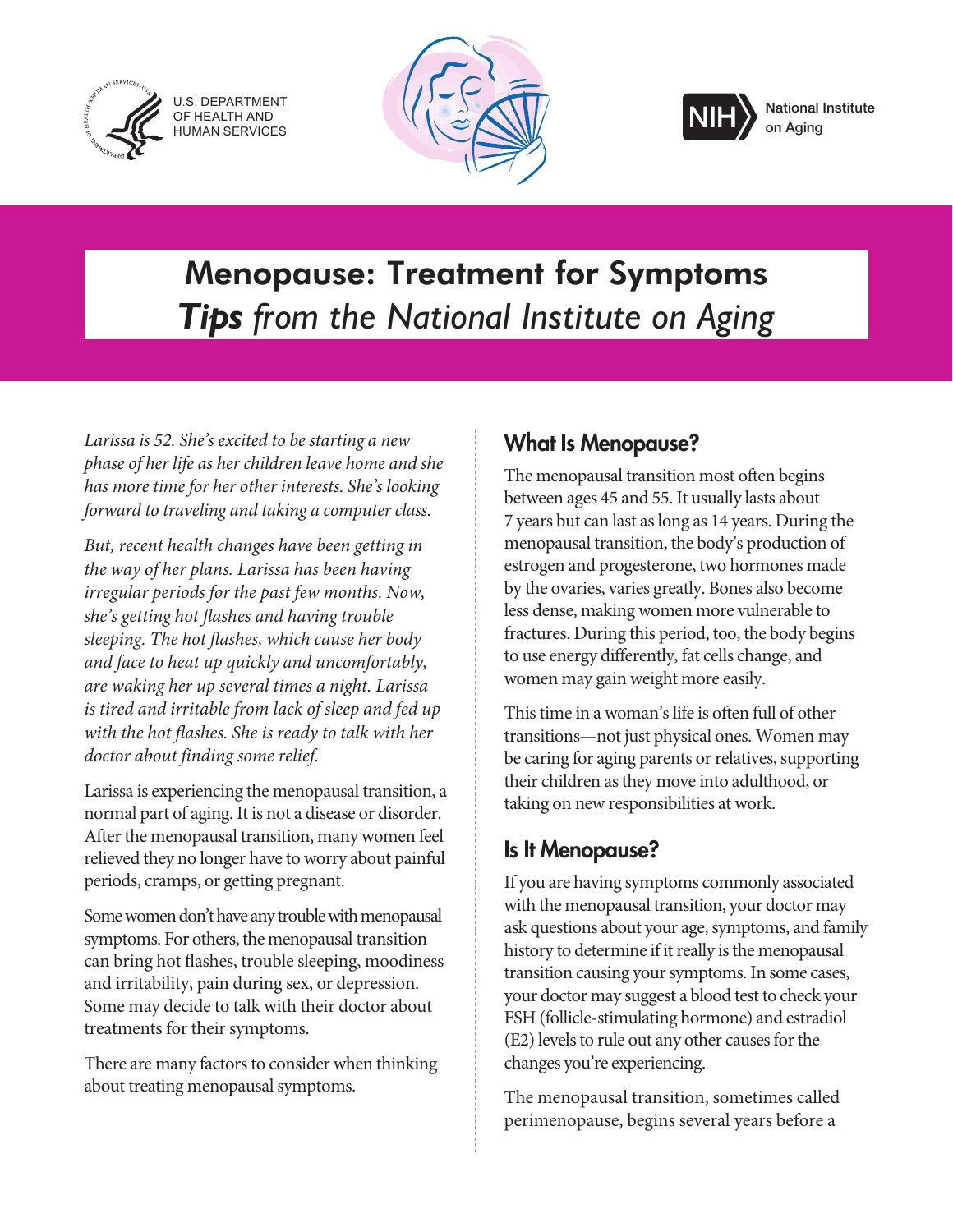

U.S. DEPARTMENT OF HEALTH AND HUMAN SERVICES





#### National Institute on Aging

# Menopause: Treatment for Symptoms *Tips from the National Institute on Aging*

*Larissa is 52. She's excited to be starting a new phase of her life as her children leave home and she has more time for her other interests. She's looking forward to traveling and taking a computer class.* 

*But, recent health changes have been getting in the way of her plans. Larissa has been having irregular periods for the past few months. Now, she's getting [hot flashes](https://www.nia.nih.gov/health/publication/menopause-time-change/signs-menopausal-transition) and having [trouble](https://www.nia.nih.gov/health/publication/good-nights-sleep)  [sleeping.](https://www.nia.nih.gov/health/publication/good-nights-sleep) The hot flashes, which cause her body and face to heat up quickly and uncomfortably, are waking her up several times a night. Larissa is tired and irritable from lack of sleep and fed up with the hot flashes. She is ready to [talk with her](https://www.nia.nih.gov/health/publication/talking-your-doctor/opening-thoughts-why-does-it-matter)  [doctor](https://www.nia.nih.gov/health/publication/talking-your-doctor/opening-thoughts-why-does-it-matter) about finding some relief.* 

Larissa is experiencing [the menopausal transition](https://www.nia.nih.gov/health/publication/menopause-time-change/introduction-menopause), a normal part of aging. It is not a disease or disorder. After the menopausal transition, many women feel relieved they no longer have to worry about painful periods, cramps, or getting pregnant.

Some women don't have any trouble with menopausal symptoms. For others, the menopausal transition can bring hot flashes, trouble sleeping, moodiness and irritability, pain during sex, or [depression.](https://nihseniorhealth.gov/depression/aboutdepression/01.html) Some may decide to talk with their doctor about treatments for their symptoms.

There are many factors to consider when thinking about treating menopausal symptoms.

## What Is Menopause?

The menopausal transition most often begins between ages 45 and 55. It usually lasts about 7 years but can last as long as 14 years. During the menopausal transition, the body's production of estrogen and progesterone, two hormones made by the ovaries, varies greatly. Bones also become less dense, making women more vulnerable to [fractures.](https://www.nia.nih.gov/health/publication/falls-and-fractures) During this period, too, the body begins to use energy differently, fat cells change, and women may gain weight more easily.

This time in a woman's life is often full of other transitions—not just physical ones. Women may be caring for aging parents or relatives, supporting their children as they move into adulthood, or taking on new responsibilities at work.

## Is It Menopause?

If you are having symptoms commonly associated with the menopausal transition, [your doctor may](https://www.nia.nih.gov/health/publication/talking-your-doctor/what-can-i-say-giving-information) [ask questions](https://www.nia.nih.gov/health/publication/talking-your-doctor/what-can-i-say-giving-information) about your age, symptoms, and family history to determine if it really is the menopausal transition causing your symptoms. In some cases, your doctor may suggest a blood test to check your FSH (follicle-stimulating hormone) and estradiol (E2) levels to rule out any other causes for the changes you're experiencing.

The menopausal transition, sometimes called perimenopause, begins several years before a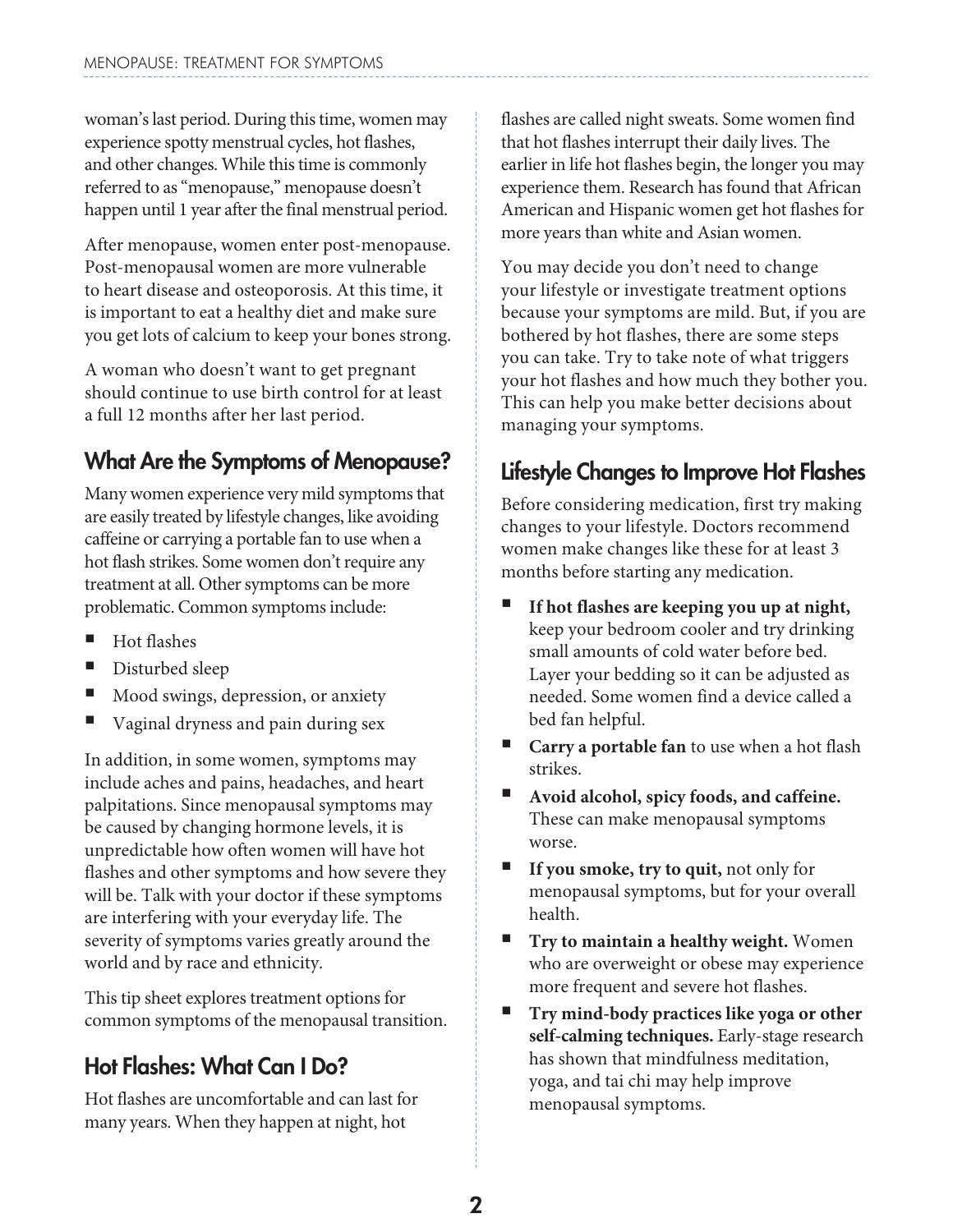woman's last period. During this time, women may experience spotty menstrual cycles, hot flashes, and other changes. While this time is commonly referred to as "menopause," menopause doesn't happen until 1 year after the final menstrual period.

After menopause, women enter post-menopause. Post-menopausal women are more vulnerable to [heart disease](https://www.nia.nih.gov/health/publication/heart-health) and osteoporosis. At this time, it is important to [eat a healthy diet](https://www.nia.nih.gov/health/publication/healthy-eating-after-50) and make sure you get lots of [calcium](https://www.nia.nih.gov/health/publication/whats-your-plate/vitamins-minerals) to keep your bones strong.

A woman who doesn't want to get pregnant should continue to use birth control for at least a full 12 months after her last period.

# What Are the Symptoms of Menopause?

Many women experience very mild symptoms that are easily treated by lifestyle changes, like avoiding caffeine or carrying a portable fan to use when a hot flash strikes. Some women don't require any treatment at all. [Other symptoms](https://www.nia.nih.gov/health/publication/menopause-time-change/what-can-you-do-hot-flashes-and-other-menopausal-symptoms) can be more problematic. Common symptoms include:

- Hot flashes
- Disturbed sleep
- Mood swings, depression, or anxiety
- Vaginal dryness and pain during sex

In addition, in some women, symptoms may include aches and [pains](https://www.nia.nih.gov/health/publication/pain), headaches, and heart palpitations. Since menopausal symptoms may be caused by changing hormone levels, it is unpredictable how often women will have hot flashes and other symptoms and how severe they will be. Talk with your doctor if these symptoms are interfering with your everyday life. The severity of symptoms varies greatly around the world and by race and ethnicity.

This tip sheet explores treatment options for common symptoms of the menopausal transition.

## Hot Flashes: What Can I Do?

Hot flashes are uncomfortable and can last for many years. When they happen at night, hot

flashes are called night sweats. Some women find that hot flashes interrupt their daily lives. The earlier in life hot flashes begin, the longer you may experience them. Research has found that African American and Hispanic women get hot flashes for more years than white and Asian women.

You may decide you don't need to change your lifestyle or investigate treatment options because your symptoms are mild. But, if you are bothered by hot flashes, there are some steps you can take. Try to take note of what triggers your hot flashes and how much they bother you. This can help you make better decisions about managing your symptoms.

## Lifestyle Changes to Improve Hot Flashes

Before considering medication, first try making changes to your lifestyle. Doctors recommend women make changes like these for at least 3 months before starting any [medication](https://www.nia.nih.gov/health/publication/medicines).

- If hot flashes are keeping you up at night, keep your bedroom cooler and try drinking small amounts of cold water before bed. Layer your bedding so it can be adjusted as needed. Some women find a device called a bed fan helpful.
- **Carry a portable fan** to use when a hot flash strikes.
- Avoid alcohol, spicy foods, and caffeine. These can make menopausal symptoms worse.
- [If you smoke, try to quit](https://www.nia.nih.gov/health/publication/smoking), not only for menopausal symptoms, but for your overall health.
- **Try to maintain a healthy weight.** Women who are overweight or obese may experience more frequent and severe hot flashes.
- Try mind-body practices like yoga or other **self-calming techniques.** Early-stage research has shown that mindfulness meditation, [yoga,](https://go4life.nia.nih.gov/tip-sheets/yoga-and-older-adults) and [tai chi](https://go4life.nia.nih.gov/exercises/tai-chi) may help improve menopausal symptoms.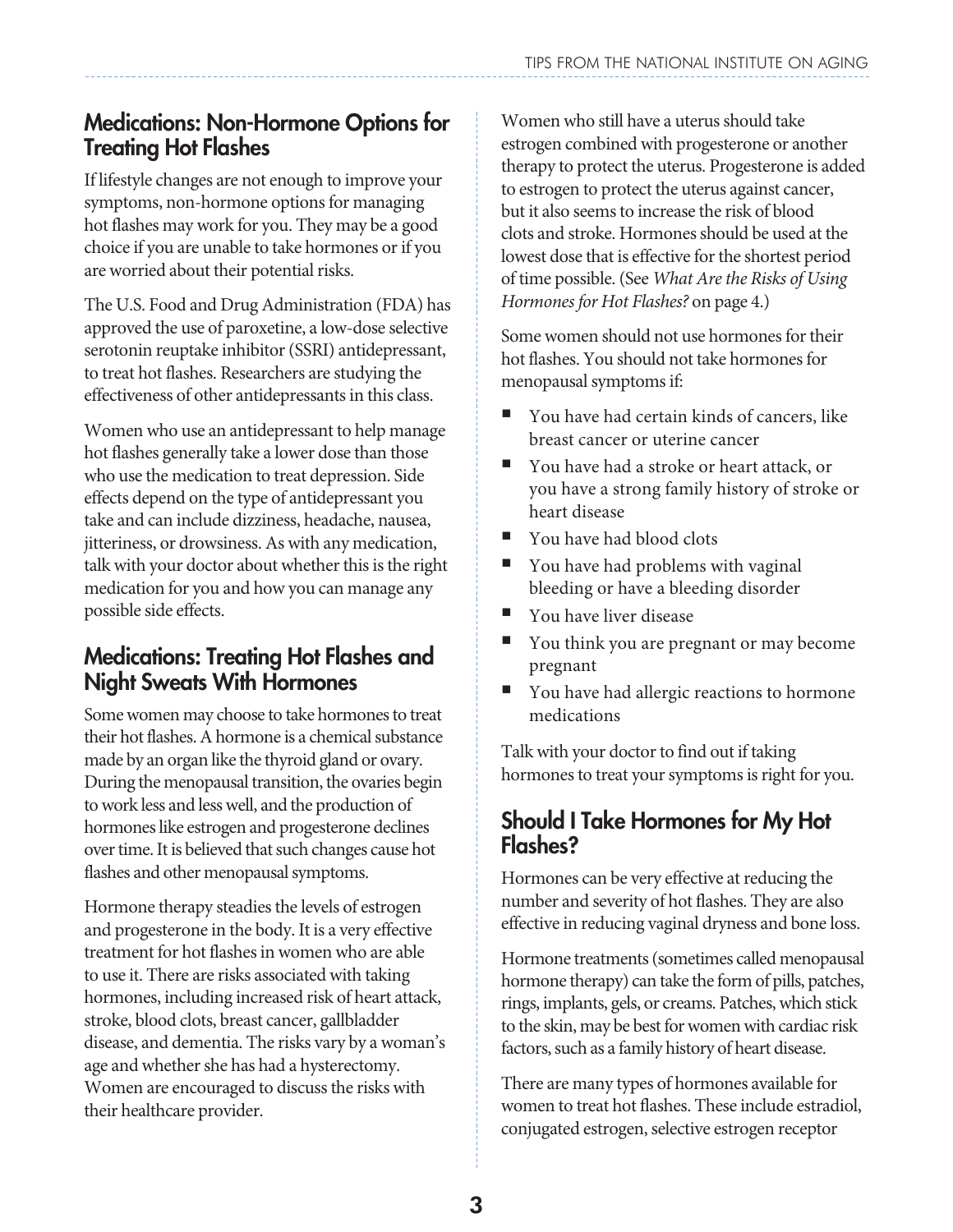## Medications: Non-Hormone Options for Treating Hot Flashes

If lifestyle changes are not enough to improve your symptoms, non-hormone options for managing hot flashes may work for you. They may be a good choice if you are unable to take hormones or if you are worried about their potential risks.

The U.S. Food and Drug Administration (FDA) has approved the use of paroxetine, a low-dose selective serotonin reuptake inhibitor (SSRI) antidepressant, to treat hot flashes. Researchers are studying the effectiveness of other antidepressants in this class.

Women who use an antidepressant to help manage hot flashes generally take a lower dose than those who use the medication to treat depression. Side effects depend on the type of antidepressant you take and can include dizziness, headache, nausea, jitteriness, or drowsiness. As with any [medication](https://www.nia.nih.gov/health/publication/safe-use-medicines/introduction), talk with your doctor about whether this is the right medication for you and how you can manage any possible side effects.

## Medications: Treating Hot Flashes and Night Sweats With Hormones

Some women may choose to take hormones to treat their hot flashes. A hormone is a chemical substance made by an organ like the thyroid gland or ovary. During the menopausal transition, the ovaries begin to work less and less well, and the production of hormones like estrogen and progesterone declines over time. It is believed that such changes cause hot flashes and other menopausal symptoms.

Hormone therapy steadies the levels of estrogen and progesterone in the body. It is a very effective treatment for hot flashes in women who are able to use it. There are risks associated with taking hormones, including increased risk of heart attack, [stroke](http://nihseniorhealth.gov/stroke/aboutstroke/01.html), blood clots, breast [cancer,](http://nihseniorhealth.gov/category/cancer.html) gallbladder disease, and [dementia](https://www.nia.nih.gov/alzheimers/publication/dementias). The risks vary by a woman's age and whether she has had a hysterectomy. Women are encouraged to discuss the risks with their healthcare provider.

Women who still have a uterus should take estrogen combined with progesterone or another therapy to protect the uterus. Progesterone is added to estrogen to protect the uterus against cancer, but it also seems to increase the risk of blood clots and stroke. Hormones should be used at the lowest dose that is effective for the shortest period of time possible. (See *What Are the Risks of Using Hormones for Hot Flashes?* on page 4.)

Some women should not use hormones for their hot flashes. You should not take hormones for menopausal symptoms if:

- You have had certain kinds of cancers, like breast cancer or uterine cancer
- You have had a stroke or heart attack, or you have a strong family history of stroke or heart disease
- You have had blood clots
- You have had problems with vaginal bleeding or have a bleeding disorder
- You have liver disease
- You think you are pregnant or may become pregnant
- You have had allergic reactions to hormone medications

Talk with your doctor to find out if taking hormones to treat your symptoms is right for you.

#### Should I Take Hormones for My Hot Flashes?

Hormones can be very effective at reducing the number and severity of hot flashes. They are also effective in reducing vaginal dryness and bone loss.

Hormone treatments (sometimes called menopausal hormone therapy) can take the form of pills, patches, rings, implants, gels, or creams. Patches, which stick to the skin, may be best for women with cardiac risk factors, such as a family history of heart disease.

There are many types of hormones available for women to treat hot flashes. These include estradiol, conjugated estrogen, selective estrogen receptor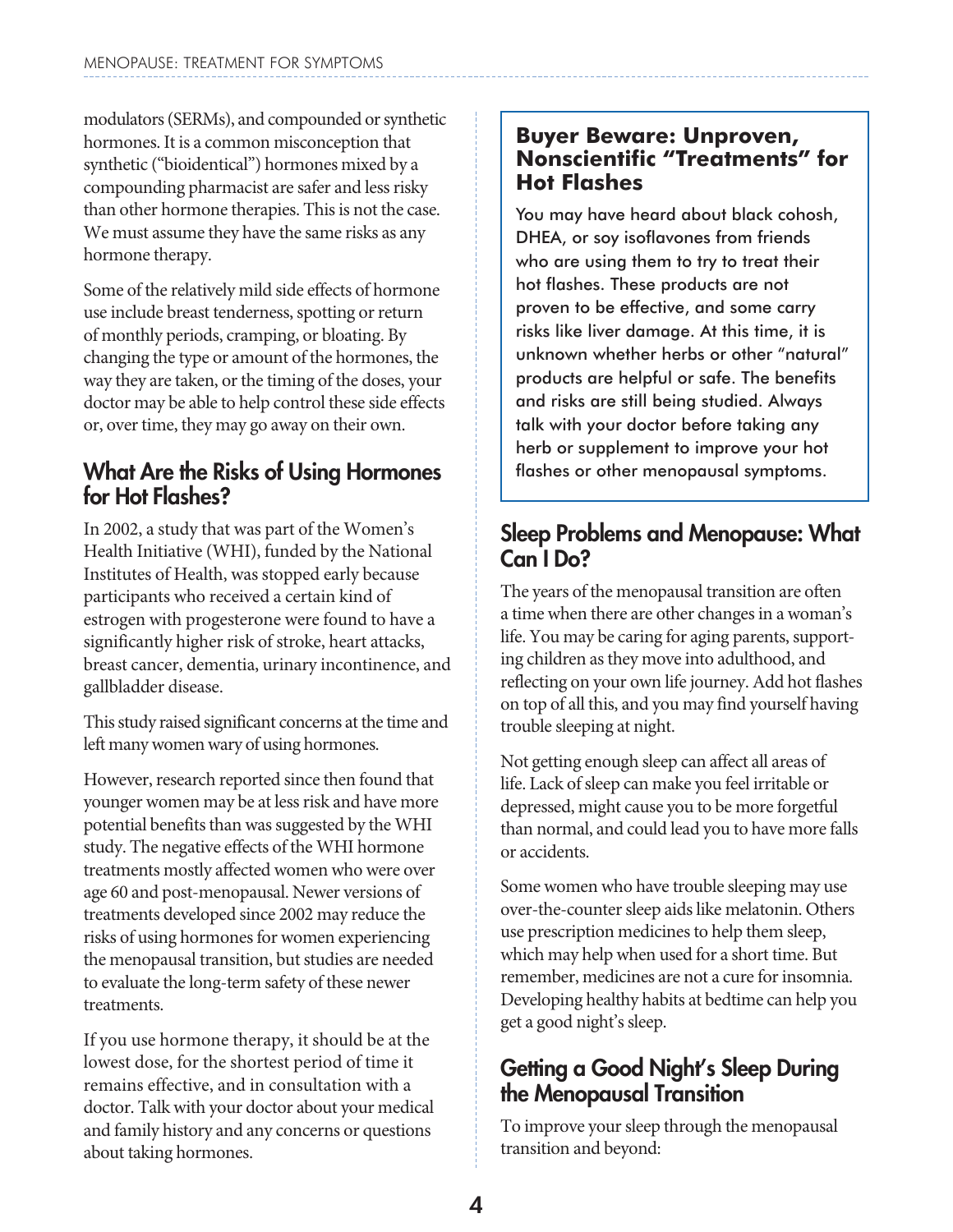modulators (SERMs), and compounded or synthetic hormones. It is a common misconception that synthetic ("bioidentical") hormones mixed by a compounding pharmacist are safer and less risky than other hormone therapies. This is not the case. We must assume they have the same risks as any hormone therapy.

Some of the relatively mild side effects of hormone use include breast tenderness, spotting or return of monthly periods, cramping, or bloating. By changing the type or amount of the hormones, the way they are taken, or the timing of the doses, your doctor may be able to help control these side effects or, over time, they may go away on their own.

### What Are the Risks of Using Hormones for Hot Flashes?

In 2002, a study that was part of the Women's Health Initiative (WHI), funded by the National Institutes of Health, was stopped early because participants who received a certain kind of estrogen with progesterone were found to have a significantly higher risk of stroke, heart attacks, breast cancer, dementia, [urinary incontinence](https://www.nia.nih.gov/health/publication/urinary-incontinence), and gallbladder disease.

This study raised significant concerns at the time and left many women wary of using hormones.

However, research reported since then found that younger women may be at less risk and have more potential benefits than was suggested by the WHI study. The negative effects of the WHI hormone treatments mostly affected women who were over age 60 and post-menopausal. Newer versions of treatments developed since 2002 may reduce the risks of using hormones for women experiencing the menopausal transition, but studies are needed to evaluate the long-term safety of these newer treatments.

If you use hormone therapy, it should be at the lowest dose, for the shortest period of time it remains effective, and in consultation with a doctor. Talk with your doctor about your medical and family history and any concerns or questions about taking hormones.

#### **Buyer Beware: Unproven, Nonscientific "Treatments" for Hot Flashes**

You may have heard about black cohosh, DHEA, or soy isoflavones from friends who are using them to try to treat their hot flashes. These products are not proven to be effective, and some carry risks like liver damage. At this time, it is unknown whether herbs or other "natural" products are helpful or safe. The benefits and risks are still being studied. Always talk with your doctor before taking any [herb or supplement](https://www.nia.nih.gov/health/publication/dietary-supplements) to improve your hot flashes or other menopausal symptoms.

#### Sleep Problems and Menopause: What Can I Do?

The years of the menopausal transition are often a time when there are other changes in a woman's life. You may be caring for aging parents, supporting children as they move into adulthood, and reflecting on your own life journey. Add hot flashes on top of all this, and you may find yourself having trouble sleeping at night.

Not getting enough sleep can affect all areas of life. Lack of sleep can make you feel irritable or depressed, might cause you to be more forgetful than normal, and could lead you to have more falls or accidents.

Some women who have trouble sleeping may use over-the-counter sleep aids like melatonin. Others use prescription medicines to help them sleep, which may help when used for a short time. But remember, medicines are not a cure for insomnia. Developing healthy habits at bedtime can help you get a good night's sleep.

#### Getting a Good Night's Sleep During the Menopausal Transition

To improve your sleep through the menopausal transition and beyond: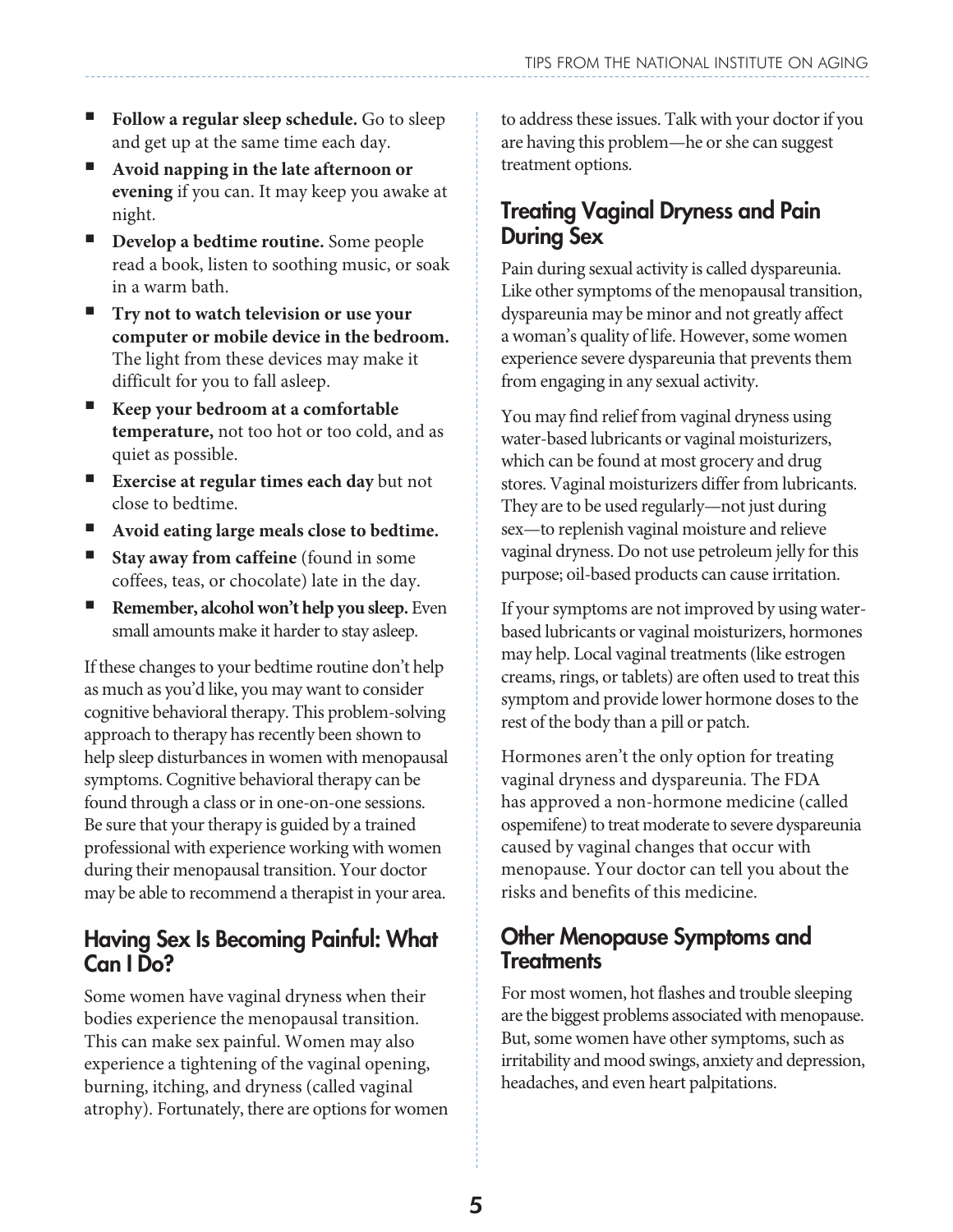- **Follow a regular sleep schedule.** Go to sleep and get up at the same time each day.
- Avoid napping in the late afternoon or **evening** if you can. It may keep you awake at night.
- **Develop a bedtime routine.** Some people read a book, listen to soothing music, or soak in a warm bath.
- **Try not to watch television or use your computer or mobile device in the bedroom.**  The light from these devices may make it difficult for you to fall asleep.
- Keep your bedroom at a comfortable **temperature,** not too hot or too cold, and as quiet as possible.
- **[Exercise](https://www.nia.nih.gov/health/publication/exercise-physical-activity/) at regular times each day** but not close to bedtime.
- Avoid eating large meals close to bedtime.
- **Stay away from caffeine** (found in some coffees, teas, or chocolate) late in the day.
- **Remember, alcohol won't help you sleep.** Even small amounts make it harder to stay asleep.

If these changes to your bedtime routine don't help as much as you'd like, you may want to consider cognitive behavioral therapy. This problem-solving approach to therapy has recently been shown to help sleep disturbances in women with menopausal symptoms. Cognitive behavioral therapy can be found through a class or in one-on-one sessions. Be sure that your therapy is guided by a trained professional with experience working with women during their menopausal transition. Your doctor may be able to recommend a therapist in your area.

#### Having Sex Is Becoming Painful: What Can I Do?

Some women have [vaginal dryness](https://www.nia.nih.gov/health/publication/menopause-time-change/what-can-you-do-hot-flashes-and-other-menopausal-symptoms) when their bodies experience the menopausal transition. This can make sex painful. Women may also experience a tightening of the vaginal opening, burning, itching, and dryness (called vaginal atrophy). Fortunately, there are options for women to address these issues. Talk with your doctor if you are having this problem—he or she can suggest treatment options.

#### Treating Vaginal Dryness and Pain During Sex

Pain during sexual activity is called dyspareunia. Like other symptoms of the menopausal transition, dyspareunia may be minor and not greatly affect a woman's quality of life. However, some women experience severe dyspareunia that prevents them from engaging in any sexual activity.

You may find relief from vaginal dryness using water-based lubricants or vaginal moisturizers, which can be found at most grocery and drug stores. Vaginal moisturizers differ from lubricants. They are to be used regularly—not just during sex—to replenish vaginal moisture and relieve vaginal dryness. Do not use petroleum jelly for this purpose; oil-based products can cause irritation.

If your symptoms are not improved by using waterbased lubricants or vaginal moisturizers, hormones may help. Local vaginal treatments (like estrogen creams, rings, or tablets) are often used to treat this symptom and provide lower hormone doses to the rest of the body than a pill or patch.

Hormones aren't the only option for treating vaginal dryness and dyspareunia. The FDA has approved a non-hormone medicine (called ospemifene) to treat moderate to severe dyspareunia caused by vaginal changes that occur with menopause. Your doctor can tell you about the risks and benefits of this medicine.

#### Other Menopause Symptoms and **Treatments**

For most women, hot flashes and trouble sleeping are the biggest problems associated with menopause. But, some women have other symptoms, such as irritability and mood swings, anxiety and depression, headaches, and even heart palpitations.